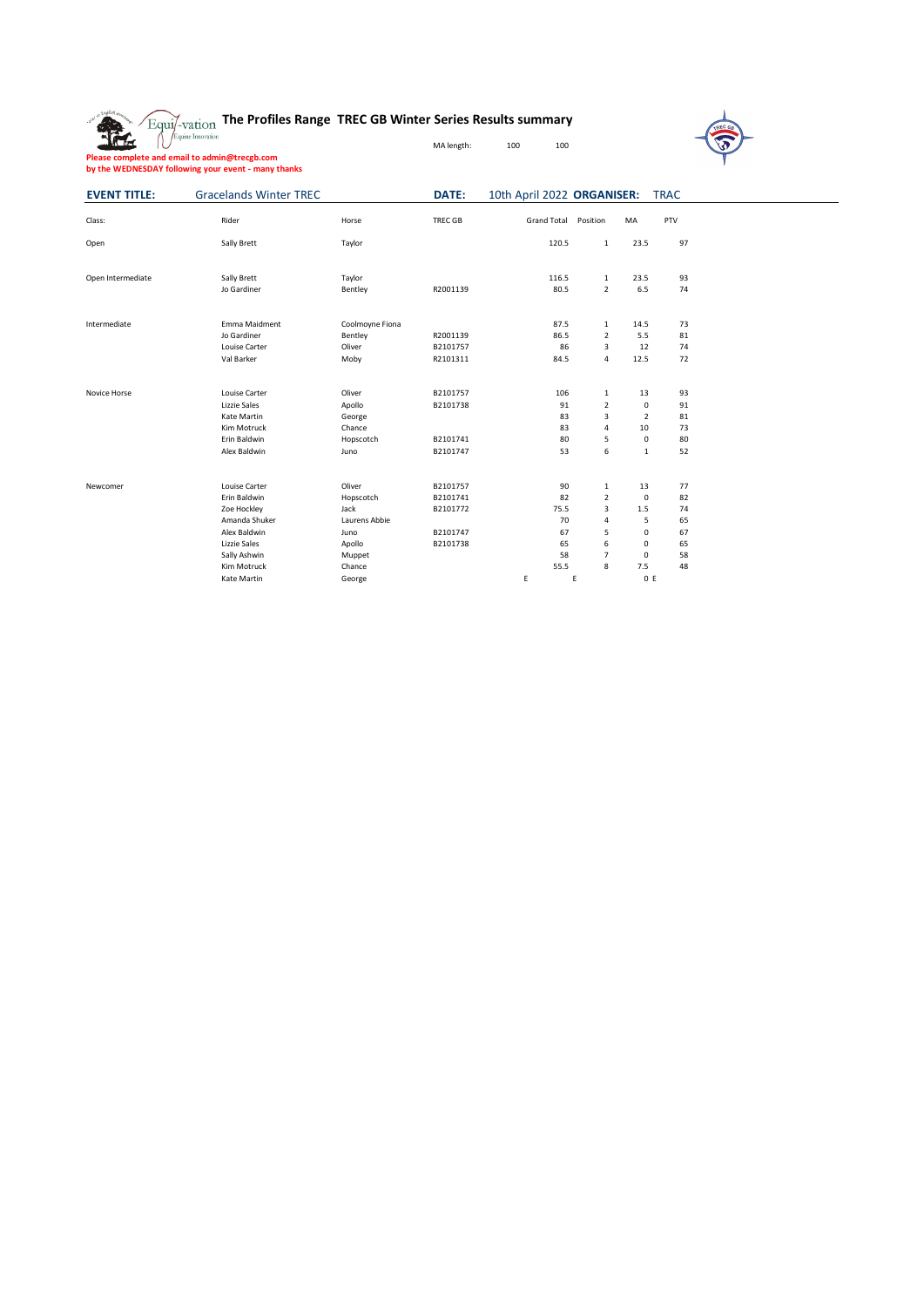## **The Profiles Range TREC GB Winter Series Results summary**



**Please complete and email to admin@trecgb.com by the WEDNESDAY following your event - many thanks**

**EVENT TITLE:** Gracelands Winter TREC **DATE:** 10th April 2022 ORGANISER: TRAC

MA length:  $100$  100

| Class:            | Rider                                                                                                                               | Horse                                                                              | <b>TREC GB</b>                                           | <b>Grand Total</b>                               | Position                                                                  | MA                                                                          | PTV                                          |
|-------------------|-------------------------------------------------------------------------------------------------------------------------------------|------------------------------------------------------------------------------------|----------------------------------------------------------|--------------------------------------------------|---------------------------------------------------------------------------|-----------------------------------------------------------------------------|----------------------------------------------|
| Open              | Sally Brett                                                                                                                         | Taylor                                                                             |                                                          | 120.5                                            | $\mathbf{1}$                                                              | 23.5                                                                        | 97                                           |
| Open Intermediate | Sally Brett<br>Jo Gardiner                                                                                                          | Taylor<br>Bentley                                                                  | R2001139                                                 | 116.5<br>80.5                                    | $\mathbf{1}$<br>$\mathcal{L}$                                             | 23.5<br>6.5                                                                 | 93<br>74                                     |
| Intermediate      | Emma Maidment<br>Jo Gardiner<br>Louise Carter<br>Val Barker                                                                         | Coolmoyne Fiona<br>Bentley<br>Oliver<br>Moby                                       | R2001139<br>B2101757<br>R2101311                         | 87.5<br>86.5<br>86<br>84.5                       | $\mathbf{1}$<br>$\overline{2}$<br>3<br>4                                  | 14.5<br>5.5<br>12<br>12.5                                                   | 73<br>81<br>74<br>72                         |
| Novice Horse      | Louise Carter<br>Lizzie Sales<br>Kate Martin<br>Kim Motruck<br>Erin Baldwin<br>Alex Baldwin                                         | Oliver<br>Apollo<br>George<br>Chance<br>Hopscotch<br>Juno                          | B2101757<br>B2101738<br>B2101741<br>B2101747             | 106<br>91<br>83<br>83<br>80<br>53                | $\mathbf{1}$<br>$\overline{2}$<br>3<br>4<br>5<br>6                        | 13<br>$\Omega$<br>$\overline{2}$<br>10<br>$\mathbf 0$<br>$\mathbf{1}$       | 93<br>91<br>81<br>73<br>80<br>52             |
| Newcomer          | Louise Carter<br><b>Frin Baldwin</b><br>Zoe Hockley<br>Amanda Shuker<br>Alex Baldwin<br>Lizzie Sales<br>Sally Ashwin<br>Kim Motruck | Oliver<br>Hopscotch<br>Jack<br>Laurens Abbie<br>Juno<br>Apollo<br>Muppet<br>Chance | B2101757<br>B2101741<br>B2101772<br>B2101747<br>B2101738 | 90<br>82<br>75.5<br>70<br>67<br>65<br>58<br>55.5 | $\mathbf{1}$<br>$\overline{2}$<br>3<br>4<br>5<br>6<br>$\overline{7}$<br>8 | 13<br>$\Omega$<br>1.5<br>5<br>$\mathbf 0$<br>$\mathbf 0$<br>$\Omega$<br>7.5 | 77<br>82<br>74<br>65<br>67<br>65<br>58<br>48 |
|                   | Kate Martin                                                                                                                         | George                                                                             |                                                          | E                                                | E                                                                         | 0 E                                                                         |                                              |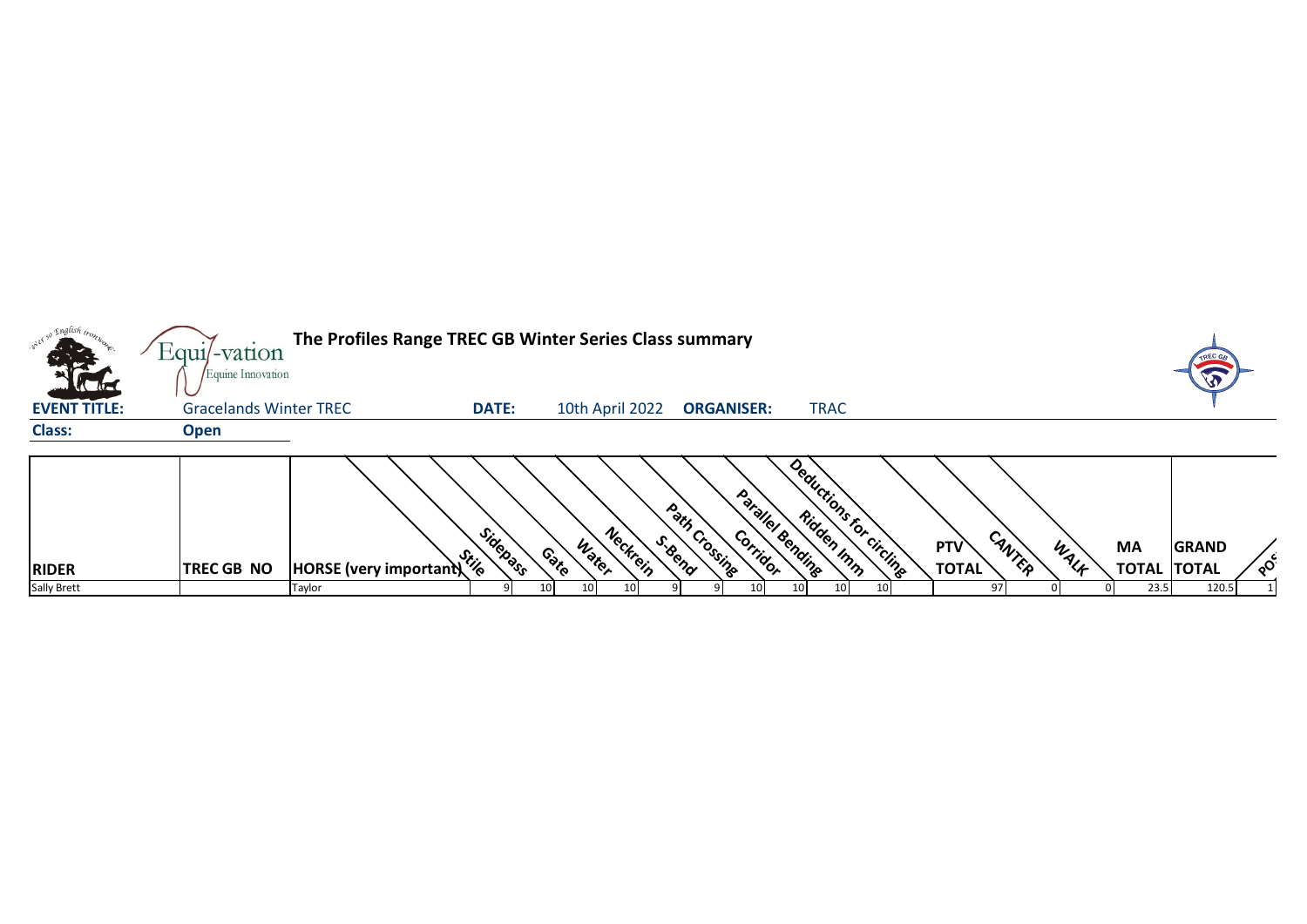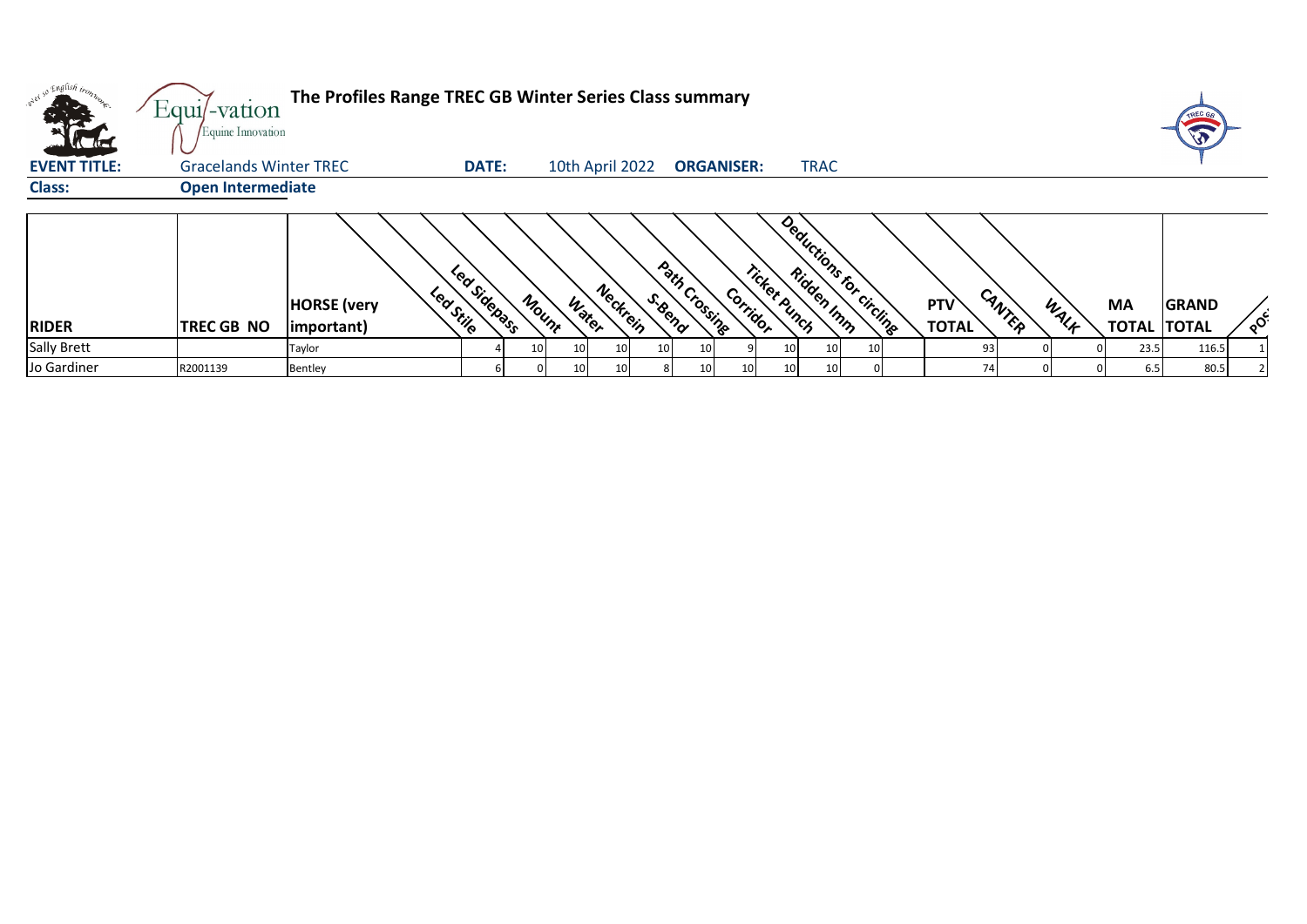| onel so English bonz<br>$\mathbf{L}$<br><b>Victor</b> | Equi/-vation<br>Equine Innovation | The Profiles Range TREC GB Winter Series Class summary |              |       |                       |                          |                 |                   |              |             |                         |                     |        |      |                                 | TREC GA      |          |
|-------------------------------------------------------|-----------------------------------|--------------------------------------------------------|--------------|-------|-----------------------|--------------------------|-----------------|-------------------|--------------|-------------|-------------------------|---------------------|--------|------|---------------------------------|--------------|----------|
| <b>EVENT TITLE:</b>                                   | <b>Gracelands Winter TREC</b>     |                                                        | <b>DATE:</b> |       | 10th April 2022       |                          |                 | <b>ORGANISER:</b> |              | <b>TRAC</b> |                         |                     |        |      |                                 |              |          |
| <b>Class:</b>                                         | <b>Open Intermediate</b>          |                                                        |              |       |                       |                          |                 |                   |              |             |                         |                     |        |      |                                 |              |          |
| <b>RIDER</b>                                          | TREC GB NO                        | Leastile<br><b>HORSE</b> (very<br>(important)          | Lea Sidepass | Mount | Neckrein<br>Water     | Path Crossing<br>S. Bend |                 | Corridor          | Ticket Punch |             | Deductions for circuits | PTV<br><b>TOTAL</b> | CANTER | WALF | <b>MA</b><br><b>TOTAL TOTAL</b> | <b>GRAND</b> | $\delta$ |
| <b>Sally Brett</b>                                    |                                   | Taylor                                                 |              | 10    | 10 <sup>1</sup><br>10 | 10                       | 10              |                   | 10           | 10          |                         | 93                  |        |      | 23.5                            | 116.5        |          |
| Jo Gardiner                                           | R2001139                          | Bentley                                                |              |       | 10<br>10              |                          | 10 <sup>1</sup> | 10                | 10           | 10          |                         | 74                  |        |      | 6.5                             | 80.5         |          |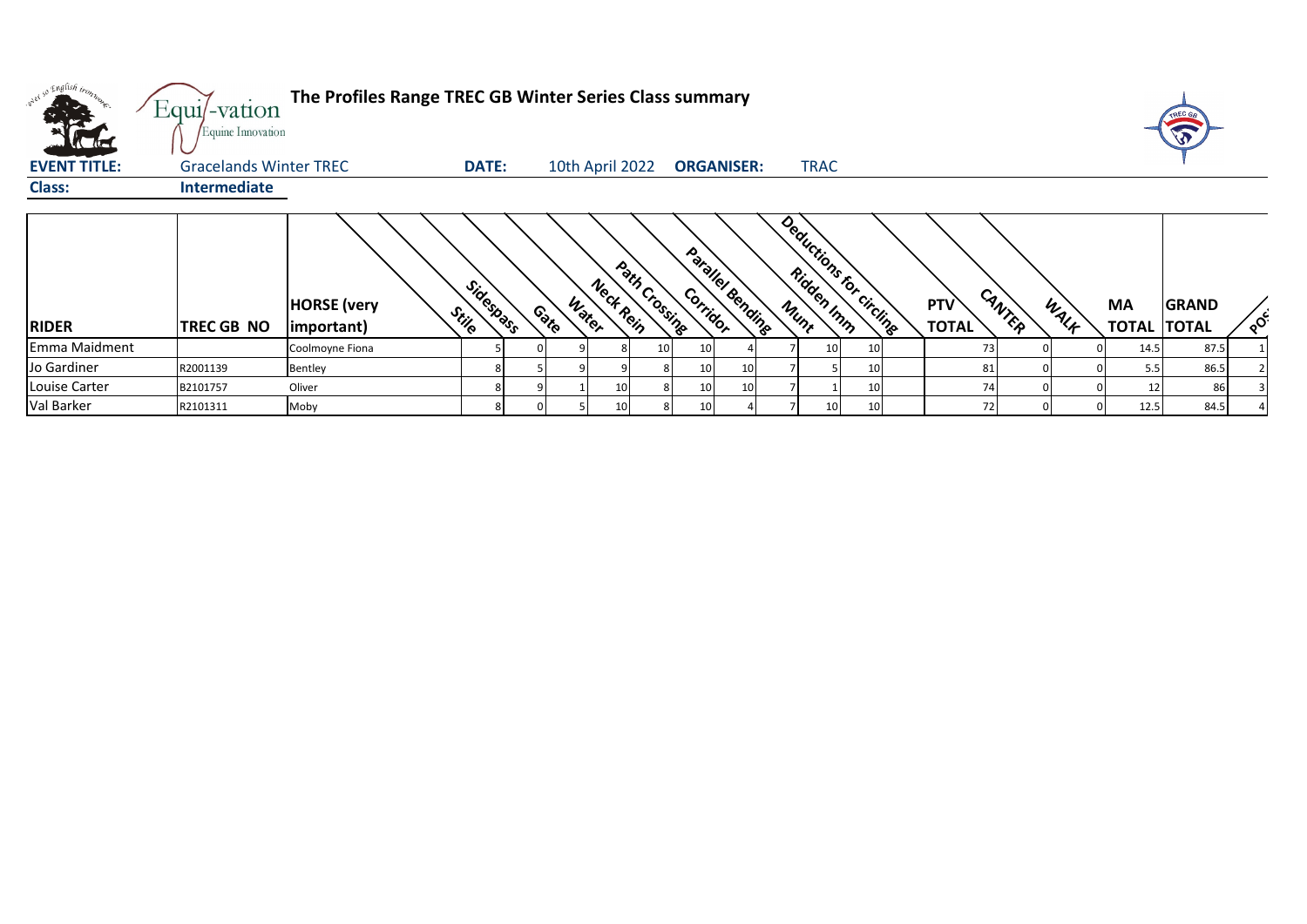| w <sup>er so English trong</sup> | Equi/-vation<br>Equine Innovation | The Profiles Range TREC GB Winter Series Class summary |                    |                 |                 |               |                 |                   |             |                          |                     |        |      |                           | TREC GE                      |          |
|----------------------------------|-----------------------------------|--------------------------------------------------------|--------------------|-----------------|-----------------|---------------|-----------------|-------------------|-------------|--------------------------|---------------------|--------|------|---------------------------|------------------------------|----------|
| <b>EVENT TITLE:</b>              | <b>Gracelands Winter TREC</b>     |                                                        | <b>DATE:</b>       | 10th April 2022 |                 |               |                 | <b>ORGANISER:</b> | <b>TRAC</b> |                          |                     |        |      |                           |                              |          |
| <b>Class:</b>                    | Intermediate                      |                                                        |                    |                 |                 |               |                 |                   |             |                          |                     |        |      |                           |                              |          |
| <b>RIDER</b>                     | TREC GB NO                        | <b>HORSE</b> (very<br>important)                       | Sidespass<br>Stile | Water<br>Contro | Neck Rein       | Path Crossing | Corridor        | Parallel Bending  |             | Deductions for circlings | PTV<br><b>TOTAL</b> | CANTER | WALK | <b>MA</b><br><b>TOTAL</b> | <b>GRAND</b><br><b>TOTAL</b> | $\delta$ |
| Emma Maidment                    |                                   | Coolmoyne Fiona                                        |                    |                 |                 | 10            | 10              |                   | 10 I        |                          | 73                  |        |      | 14.5                      | 87.5                         |          |
| Jo Gardiner                      | R2001139                          | Bentley                                                |                    |                 |                 |               | 10 <sup>1</sup> | 10 <sup>1</sup>   |             |                          | 81                  |        |      | 5.5                       | 86.5                         |          |
| Louise Carter                    | B2101757                          | Oliver                                                 |                    |                 |                 |               | 10 <sup>1</sup> | 10 <sup>1</sup>   |             |                          | 74                  |        |      |                           | 86                           |          |
| Val Barker                       | R2101311                          | Moby                                                   | 8                  |                 | 10 <sup>1</sup> |               | 10 I            |                   | 10          |                          | 72                  |        |      | 12.5                      | 84.5                         |          |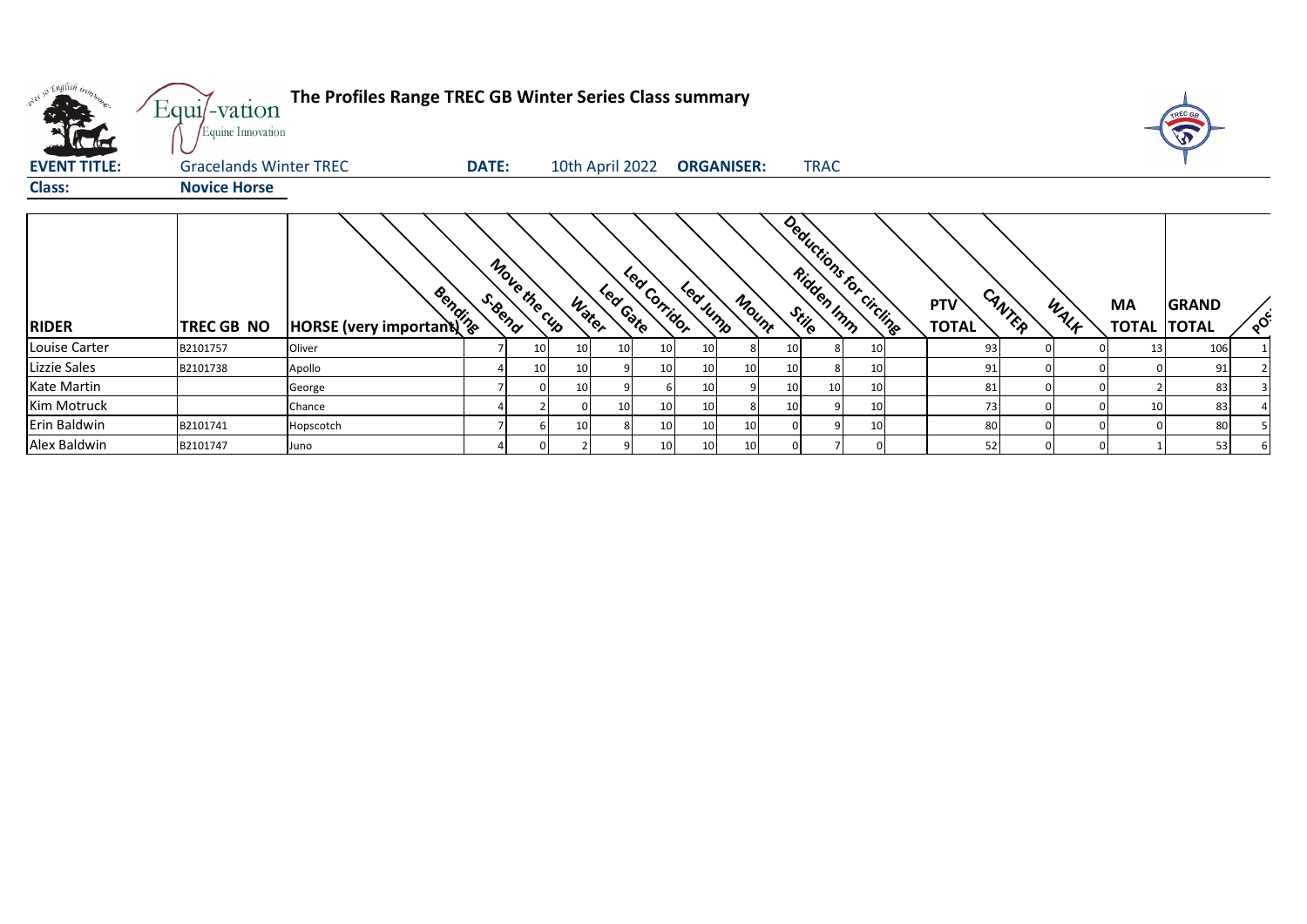| orel so English trong<br>$\sqrt{1}$ | Equi/-vation<br>Equine Innovation | The Profiles Range TREC GB Winter Series Class summary |              |                 |                 |           |               |                   |                 |                 |                 |                          |                            |        |      |                                 | TREC GE      |          |
|-------------------------------------|-----------------------------------|--------------------------------------------------------|--------------|-----------------|-----------------|-----------|---------------|-------------------|-----------------|-----------------|-----------------|--------------------------|----------------------------|--------|------|---------------------------------|--------------|----------|
| <b>EVENT TITLE:</b>                 | <b>Gracelands Winter TREC</b>     |                                                        | <b>DATE:</b> |                 | 10th April 2022 |           |               | <b>ORGANISER:</b> |                 |                 | <b>TRAC</b>     |                          |                            |        |      |                                 |              |          |
| <b>Class:</b>                       | <b>Novice Horse</b>               |                                                        |              |                 |                 |           |               |                   |                 |                 |                 |                          |                            |        |      |                                 |              |          |
| <b>RIDER</b>                        | TREC GB NO                        | <b>Books</b><br>HORSE (very important)                 | S. Bend      | Move the cup    | Water           | Lear Gate | Lear Corridor | Led Jump          | Mount           |                 |                 | Deductions for circlings | <b>PTV</b><br><b>TOTAL</b> | CANTER | WALK | <b>MA</b><br><b>TOTAL TOTAL</b> | <b>GRAND</b> | $\delta$ |
| Louise Carter                       | B2101757                          | Oliver                                                 |              | 10 <sup>1</sup> |                 | -10       | 10            | 10                |                 | 10              |                 | 10                       | 93                         |        |      | 13                              | 106          |          |
| Lizzie Sales                        | B2101738                          | Apollo                                                 |              | 10I             |                 |           | 10            | 10 <sup>1</sup>   | 10 <sup>1</sup> | 10 <sup>1</sup> | 8               | 10 <sup>1</sup>          | 91                         |        |      |                                 | 91           |          |
| Kate Martin                         |                                   | George                                                 |              |                 |                 |           |               | 10                |                 | 10              | 10 <sub>l</sub> | 10 <sub>l</sub>          | 81                         |        |      |                                 | 83           |          |
| <b>Kim Motruck</b>                  |                                   | Chance                                                 |              |                 |                 |           | 10            | 10                |                 | 10              |                 | 10                       | 73                         |        |      | 10                              | 83           |          |
| Erin Baldwin                        | B2101741                          | Hopscotch                                              |              |                 |                 |           | 10            | 10                | 10 <sup>1</sup> |                 |                 | 10                       | 80                         |        |      |                                 | 80           |          |
| Alex Baldwin                        | B2101747                          | Juno                                                   |              |                 |                 |           | 10            | 10 <sub>l</sub>   | 10 <sup>1</sup> |                 |                 |                          | 52                         |        |      |                                 | 53           |          |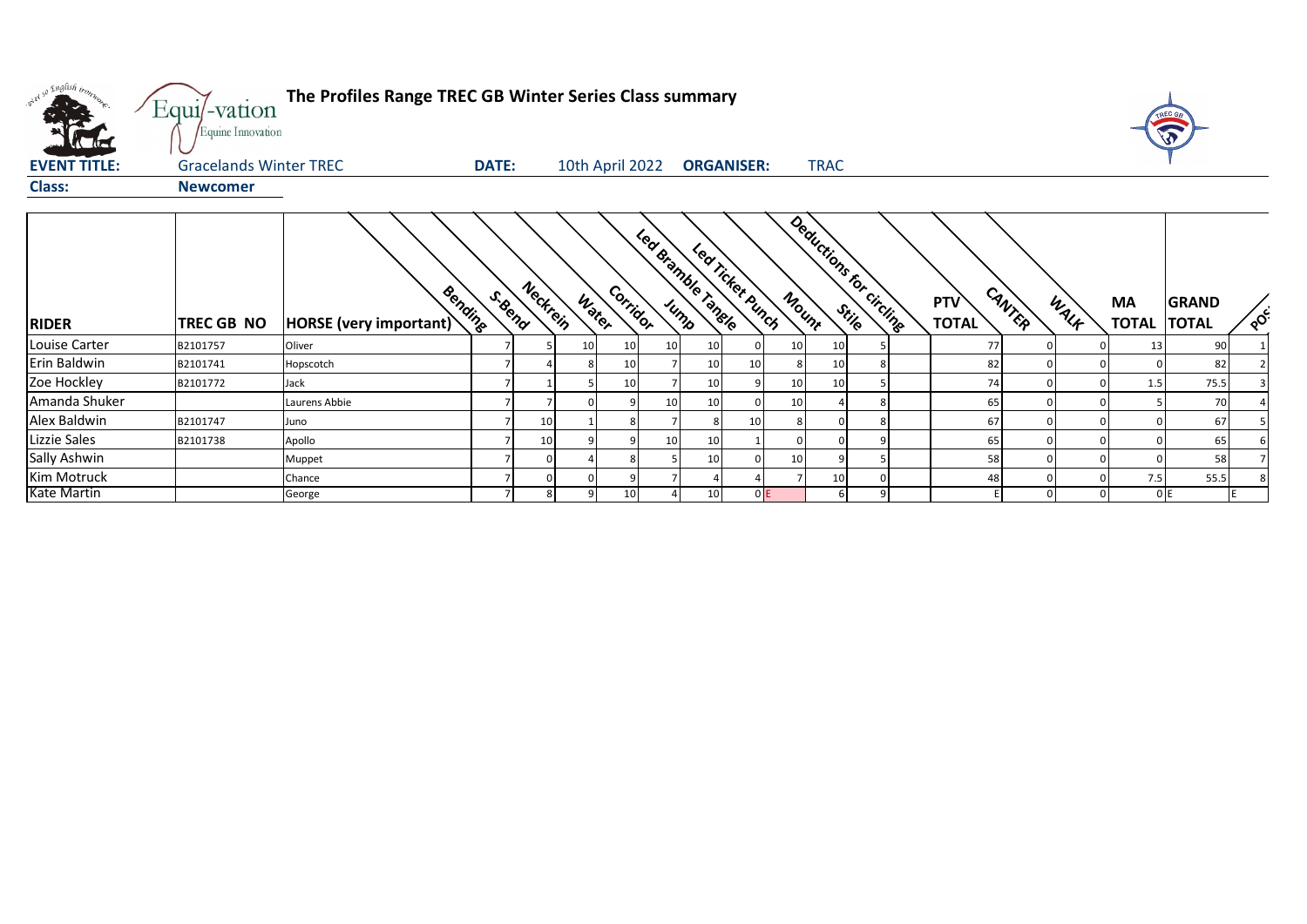| what so English trong | Equi/-vation<br>Equine Innovation | The Profiles Range TREC GB Winter Series Class summary |         |                 |       |                 |                 |                    |                   |       |                          |  |                            |        |      |                           | <b>Val</b>                   |          |
|-----------------------|-----------------------------------|--------------------------------------------------------|---------|-----------------|-------|-----------------|-----------------|--------------------|-------------------|-------|--------------------------|--|----------------------------|--------|------|---------------------------|------------------------------|----------|
| <b>EVENT TITLE:</b>   | <b>Gracelands Winter TREC</b>     |                                                        | DATE:   |                 |       | 10th April 2022 |                 |                    | <b>ORGANISER:</b> |       | <b>TRAC</b>              |  |                            |        |      |                           |                              |          |
| <b>Class:</b>         | <b>Newcomer</b>                   |                                                        |         |                 |       |                 |                 |                    |                   |       |                          |  |                            |        |      |                           |                              |          |
| <b>RIDER</b>          | <b>TREC GB NO</b>                 | Bending<br><b>HORSE</b> (very important)               | S. Bend | Neckrein        | Water | Corrigor        |                 | Led Bramble Tangle | Led Ticket Bunch  | Mount | Deductions for circlines |  | <b>PTV</b><br><b>TOTAL</b> | CANTER | WALK | <b>MA</b><br><b>TOTAL</b> | <b>GRAND</b><br><b>TOTAL</b> | $\delta$ |
| Louise Carter         | B2101757                          | Oliver                                                 |         |                 | 10    | 10              | 10 <sup>1</sup> | 10                 |                   | 10    | 10                       |  | 77                         |        |      | 13                        | 90                           |          |
| Erin Baldwin          | B2101741                          | Hopscotch                                              |         |                 |       | 10              |                 | 10 <sup>1</sup>    | 10                |       | 10                       |  | 82                         |        |      |                           | 82                           |          |
| Zoe Hockley           | B2101772                          | Jack                                                   |         |                 |       | 10              |                 | 10 <sup>1</sup>    |                   | 10    | 10                       |  | 74                         |        |      | 1.5                       | 75.5                         |          |
| Amanda Shuker         |                                   | Laurens Abbie                                          |         |                 |       |                 | 10              | 10                 |                   | 10    |                          |  | 65                         |        |      |                           | 70                           |          |
| Alex Baldwin          | B2101747                          | Juno                                                   |         | 10 <sub>1</sub> |       |                 |                 |                    | 10                |       |                          |  | 67                         |        |      |                           | 67                           |          |
| Lizzie Sales          | B2101738                          | Apollo                                                 |         | 10 <sup>1</sup> |       |                 | 10 <sup>1</sup> | 10 <sup>1</sup>    |                   |       |                          |  | 65                         |        |      |                           | 65                           |          |
| Sally Ashwin          |                                   | Muppet                                                 |         |                 |       |                 |                 | 10                 |                   | 10    |                          |  | 58                         |        |      |                           | 58                           |          |
| Kim Motruck           |                                   | Chance                                                 |         |                 |       |                 |                 |                    |                   |       | 10                       |  | 48                         |        |      | 7.5                       | 55.5                         |          |
| <b>Kate Martin</b>    |                                   | George                                                 |         | 8               |       | 10              |                 | 10                 | 0E                |       |                          |  |                            |        |      |                           | 0E                           |          |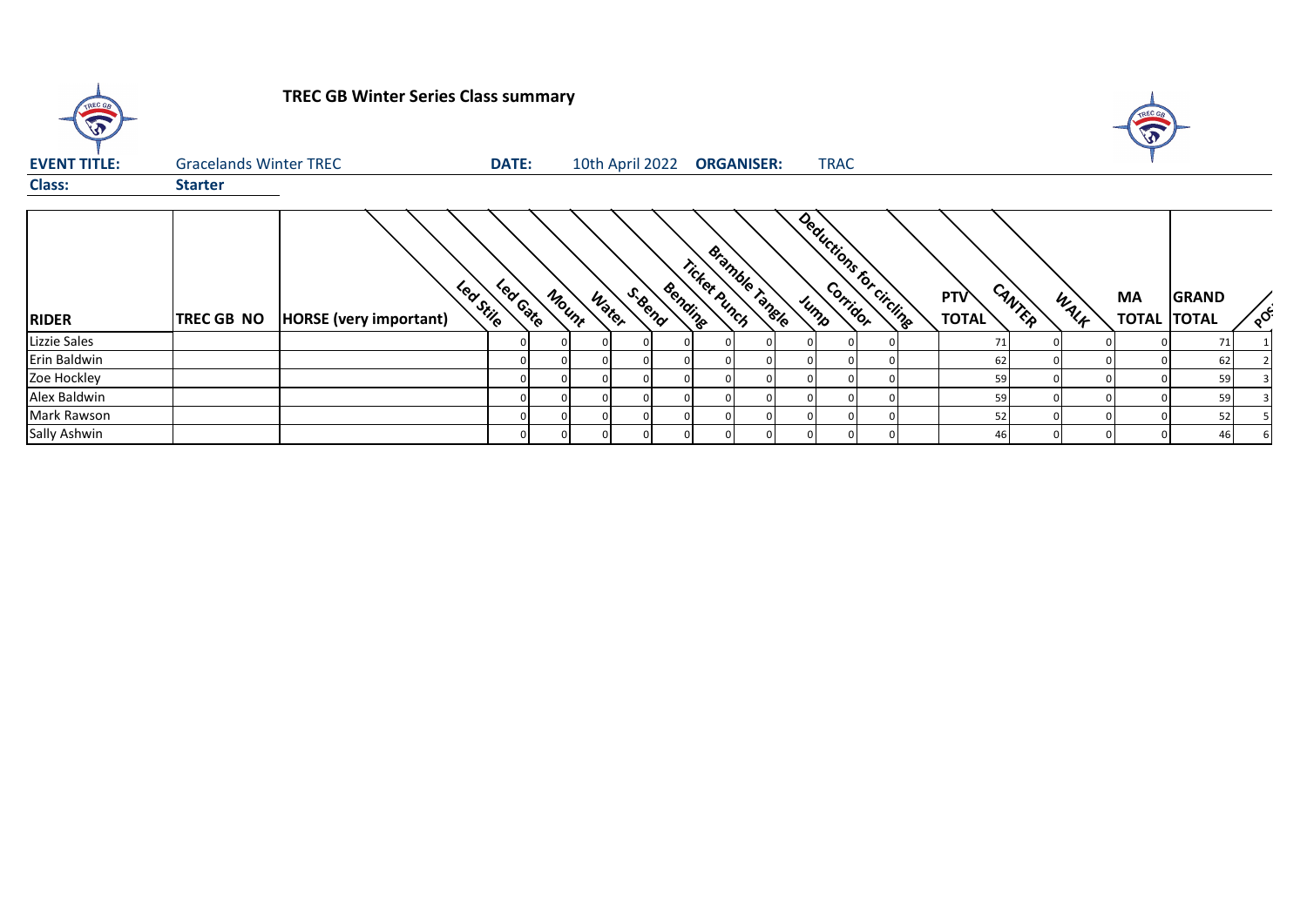

## **TREC GB Winter Series Class summary**



| <b>EVENT TITLE:</b> | <b>Gracelands Winter TREC</b> |                               | <b>DATE:</b>                    |       |          | 10th April 2022 |                |              | <b>ORGANISER:</b> | <b>TRAC</b>               |  |                     |        |      |           |                                    |         |
|---------------------|-------------------------------|-------------------------------|---------------------------------|-------|----------|-----------------|----------------|--------------|-------------------|---------------------------|--|---------------------|--------|------|-----------|------------------------------------|---------|
| <b>Class:</b>       | <b>Starter</b>                |                               |                                 |       |          |                 |                |              |                   |                           |  |                     |        |      |           |                                    |         |
| <b>RIDER</b>        | <b>TREC GB NO</b>             | <b>HORSE</b> (very important) | Leafed<br>Lea <sub>Stille</sub> | Mount | Water    | S. Bend         | Bendine        | Ticket Punch | Bramble Tangle    | Deductions for circuities |  | <b>PTV</b><br>TOTAL | CANTER | WALF | <b>MA</b> | <b>GRAND</b><br><b>TOTAL TOTAL</b> | $\circ$ |
| Lizzie Sales        |                               |                               |                                 |       |          |                 |                |              |                   |                           |  | 71                  |        |      |           | 71                                 |         |
| Erin Baldwin        |                               |                               |                                 |       |          |                 |                |              |                   |                           |  | 62                  |        |      |           | 62                                 |         |
| Zoe Hockley         |                               |                               |                                 |       |          |                 |                |              |                   |                           |  | 59                  |        |      |           | 59                                 |         |
| Alex Baldwin        |                               |                               |                                 |       | $\Omega$ |                 | <sup>0</sup>   |              |                   |                           |  | 59                  |        |      |           | 59                                 |         |
| Mark Rawson         |                               |                               |                                 |       | $\Omega$ |                 | $\overline{0}$ |              |                   |                           |  | 52                  |        |      |           | 52                                 |         |
| Sally Ashwin        |                               |                               |                                 |       | $\Omega$ |                 | $\mathbf{0}$   |              |                   |                           |  | 46                  |        |      |           | 46                                 |         |